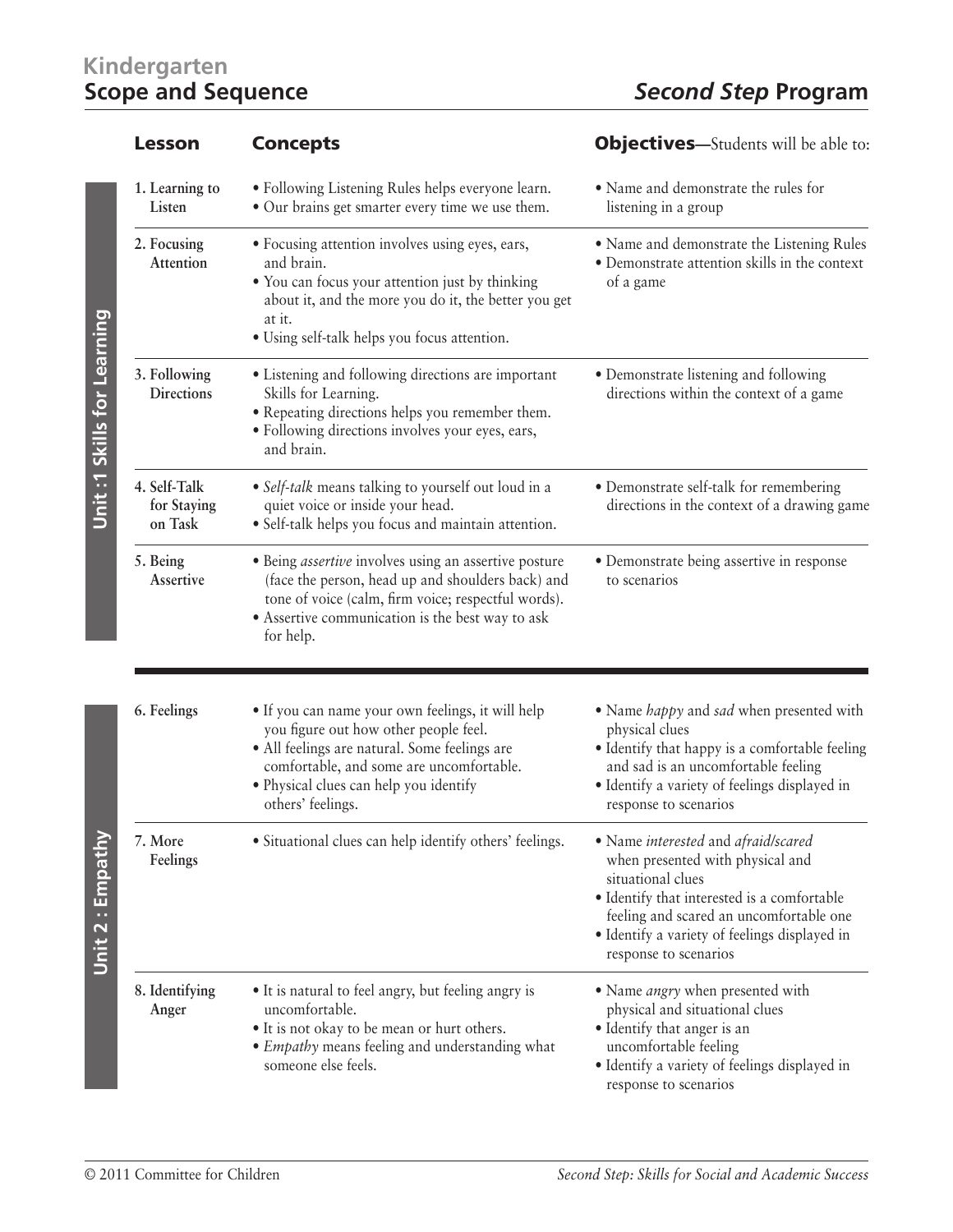## **Kindergarten**

|                            | <b>Lesson</b>                          | <b>Concepts</b>                                                                                                                                                                                                                                        | <b>Objectives</b> —Students will be able to:                                                                                                                                                                                                                     |
|----------------------------|----------------------------------------|--------------------------------------------------------------------------------------------------------------------------------------------------------------------------------------------------------------------------------------------------------|------------------------------------------------------------------------------------------------------------------------------------------------------------------------------------------------------------------------------------------------------------------|
|                            | 1. Learning to<br>Listen               | · Following Listening Rules helps everyone learn.<br>• Our brains get smarter every time we use them.                                                                                                                                                  | · Name and demonstrate the rules for<br>listening in a group                                                                                                                                                                                                     |
| Unit:1 Skills for Learning | 2. Focusing<br>Attention               | • Focusing attention involves using eyes, ears,<br>and brain.<br>• You can focus your attention just by thinking<br>about it, and the more you do it, the better you get<br>at it.<br>· Using self-talk helps you focus attention.                     | · Name and demonstrate the Listening Rules<br>· Demonstrate attention skills in the context<br>of a game                                                                                                                                                         |
|                            | 3. Following<br><b>Directions</b>      | • Listening and following directions are important<br>Skills for Learning.<br>• Repeating directions helps you remember them.<br>· Following directions involves your eyes, ears,<br>and brain.                                                        | • Demonstrate listening and following<br>directions within the context of a game                                                                                                                                                                                 |
|                            | 4. Self-Talk<br>for Staying<br>on Task | • Self-talk means talking to yourself out loud in a<br>quiet voice or inside your head.<br>· Self-talk helps you focus and maintain attention.                                                                                                         | • Demonstrate self-talk for remembering<br>directions in the context of a drawing game                                                                                                                                                                           |
|                            | 5. Being<br>Assertive                  | · Being <i>assertive</i> involves using an assertive posture<br>(face the person, head up and shoulders back) and<br>tone of voice (calm, firm voice; respectful words).<br>• Assertive communication is the best way to ask<br>for help.              | · Demonstrate being assertive in response<br>to scenarios                                                                                                                                                                                                        |
|                            | 6. Feelings                            | · If you can name your own feelings, it will help<br>you figure out how other people feel.<br>• All feelings are natural. Some feelings are<br>comfortable, and some are uncomfortable.<br>· Physical clues can help you identify<br>others' feelings. | • Name happy and sad when presented with<br>physical clues<br>· Identify that happy is a comfortable feeling<br>and sad is an uncomfortable feeling<br>· Identify a variety of feelings displayed in<br>response to scenarios                                    |
| Unit 2 : Empathy           | 7. More<br>Feelings                    | • Situational clues can help identify others' feelings.                                                                                                                                                                                                | · Name interested and afraid/scared<br>when presented with physical and<br>situational clues<br>· Identify that interested is a comfortable<br>feeling and scared an uncomfortable one<br>• Identify a variety of feelings displayed in<br>response to scenarios |
|                            | 8. Identifying<br>Anger                | • It is natural to feel angry, but feeling angry is<br>uncomfortable.<br>• It is not okay to be mean or hurt others.<br>• <i>Empathy</i> means feeling and understanding what<br>someone else feels.                                                   | • Name <i>angry</i> when presented with<br>physical and situational clues<br>· Identify that anger is an<br>uncomfortable feeling<br>· Identify a variety of feelings displayed in<br>response to scenarios                                                      |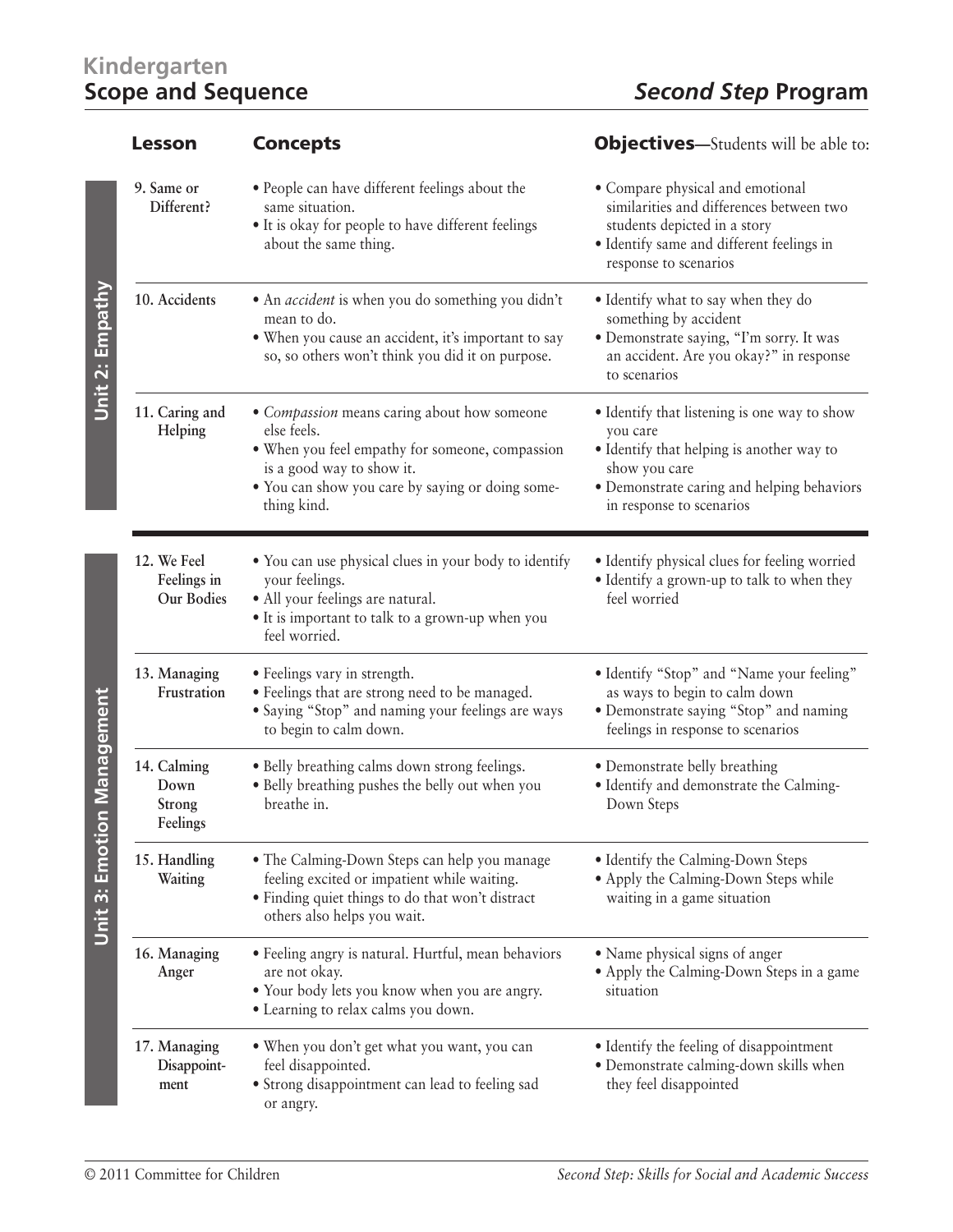## **Kindergarten**

|                                   | Lesson                                           | <b>Concepts</b>                                                                                                                                                                                               | <b>Objectives</b> —Students will be able to:                                                                                                                                                     |
|-----------------------------------|--------------------------------------------------|---------------------------------------------------------------------------------------------------------------------------------------------------------------------------------------------------------------|--------------------------------------------------------------------------------------------------------------------------------------------------------------------------------------------------|
|                                   | 9. Same or<br>Different?                         | • People can have different feelings about the<br>same situation.<br>• It is okay for people to have different feelings<br>about the same thing.                                                              | • Compare physical and emotional<br>similarities and differences between two<br>students depicted in a story<br>· Identify same and different feelings in<br>response to scenarios               |
| Unit 2: Empathy                   | 10. Accidents                                    | • An <i>accident</i> is when you do something you didn't<br>mean to do.<br>• When you cause an accident, it's important to say<br>so, so others won't think you did it on purpose.                            | • Identify what to say when they do<br>something by accident<br>· Demonstrate saying, "I'm sorry. It was<br>an accident. Are you okay?" in response<br>to scenarios                              |
|                                   | 11. Caring and<br>Helping                        | • Compassion means caring about how someone<br>else feels.<br>. When you feel empathy for someone, compassion<br>is a good way to show it.<br>• You can show you care by saying or doing some-<br>thing kind. | • Identify that listening is one way to show<br>you care<br>• Identify that helping is another way to<br>show you care<br>· Demonstrate caring and helping behaviors<br>in response to scenarios |
| <b>Unit 3: Emotion Management</b> | 12. We Feel<br>Feelings in<br><b>Our Bodies</b>  | • You can use physical clues in your body to identify<br>your feelings.<br>· All your feelings are natural.<br>· It is important to talk to a grown-up when you<br>feel worried.                              | · Identify physical clues for feeling worried<br>· Identify a grown-up to talk to when they<br>feel worried                                                                                      |
|                                   | 13. Managing<br>Frustration                      | • Feelings vary in strength.<br>· Feelings that are strong need to be managed.<br>· Saying "Stop" and naming your feelings are ways<br>to begin to calm down.                                                 | • Identify "Stop" and "Name your feeling"<br>as ways to begin to calm down<br>· Demonstrate saying "Stop" and naming<br>feelings in response to scenarios                                        |
|                                   | 14. Calming<br>Down<br><b>Strong</b><br>Feelings | · Belly breathing calms down strong feelings.<br>• Belly breathing pushes the belly out when you<br>breathe in.                                                                                               | • Demonstrate belly breathing<br>· Identify and demonstrate the Calming-<br>Down Steps                                                                                                           |
|                                   | 15. Handling<br>Waiting                          | • The Calming-Down Steps can help you manage<br>feeling excited or impatient while waiting.<br>· Finding quiet things to do that won't distract<br>others also helps you wait.                                | • Identify the Calming-Down Steps<br>• Apply the Calming-Down Steps while<br>waiting in a game situation                                                                                         |
|                                   | 16. Managing<br>Anger                            | • Feeling angry is natural. Hurtful, mean behaviors<br>are not okay.<br>• Your body lets you know when you are angry.<br>• Learning to relax calms you down.                                                  | • Name physical signs of anger<br>• Apply the Calming-Down Steps in a game<br>situation                                                                                                          |
|                                   | 17. Managing<br>Disappoint-<br>ment              | • When you don't get what you want, you can<br>feel disappointed.<br>• Strong disappointment can lead to feeling sad<br>or angry.                                                                             | • Identify the feeling of disappointment<br>· Demonstrate calming-down skills when<br>they feel disappointed                                                                                     |